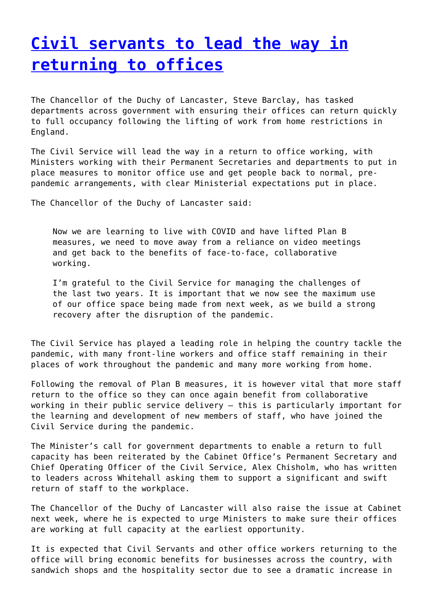## **[Civil servants to lead the way in](http://www.government-world.com/civil-servants-to-lead-the-way-in-returning-to-offices/) [returning to offices](http://www.government-world.com/civil-servants-to-lead-the-way-in-returning-to-offices/)**

The Chancellor of the Duchy of Lancaster, Steve Barclay, has tasked departments across government with ensuring their offices can return quickly to full occupancy following the lifting of work from home restrictions in England.

The Civil Service will lead the way in a return to office working, with Ministers working with their Permanent Secretaries and departments to put in place measures to monitor office use and get people back to normal, prepandemic arrangements, with clear Ministerial expectations put in place.

The Chancellor of the Duchy of Lancaster said:

Now we are learning to live with COVID and have lifted Plan B measures, we need to move away from a reliance on video meetings and get back to the benefits of face-to-face, collaborative working.

I'm grateful to the Civil Service for managing the challenges of the last two years. It is important that we now see the maximum use of our office space being made from next week, as we build a strong recovery after the disruption of the pandemic.

The Civil Service has played a leading role in helping the country tackle the pandemic, with many front-line workers and office staff remaining in their places of work throughout the pandemic and many more working from home.

Following the removal of Plan B measures, it is however vital that more staff return to the office so they can once again benefit from collaborative working in their public service delivery – this is particularly important for the learning and development of new members of staff, who have joined the Civil Service during the pandemic.

The Minister's call for government departments to enable a return to full capacity has been reiterated by the Cabinet Office's Permanent Secretary and Chief Operating Officer of the Civil Service, Alex Chisholm, who has written to leaders across Whitehall asking them to support a significant and swift return of staff to the workplace.

The Chancellor of the Duchy of Lancaster will also raise the issue at Cabinet next week, where he is expected to urge Ministers to make sure their offices are working at full capacity at the earliest opportunity.

It is expected that Civil Servants and other office workers returning to the office will bring economic benefits for businesses across the country, with sandwich shops and the hospitality sector due to see a dramatic increase in